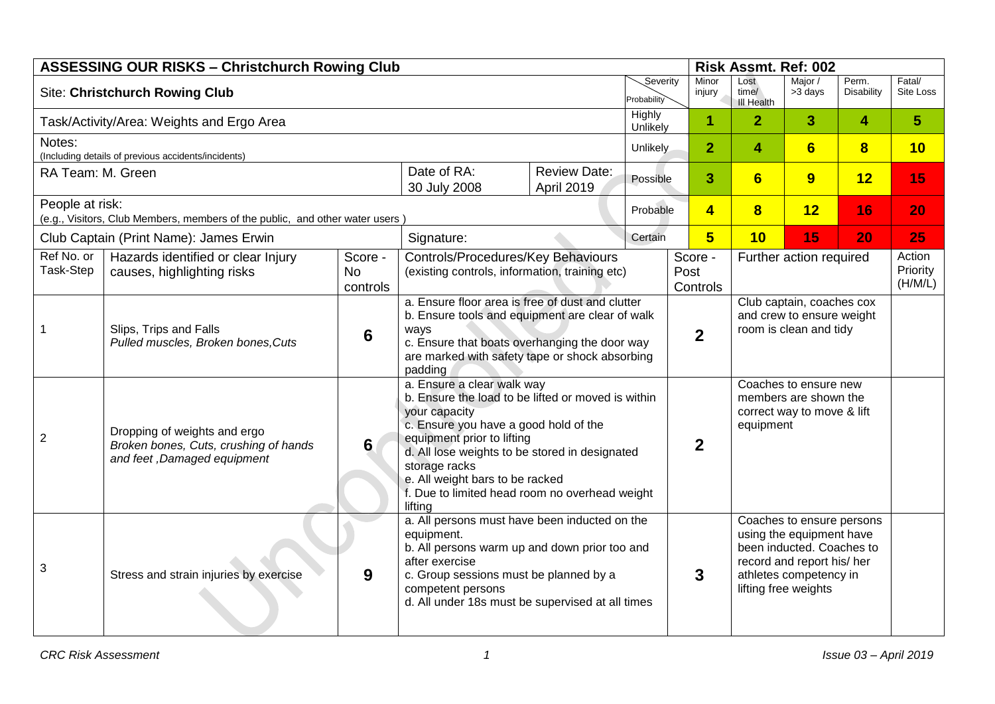| <b>ASSESSING OUR RISKS - Christchurch Rowing Club</b><br>Risk Assmt. Ref: 002 |                                                                                                      |                                  |                                                                                                                                                                                                                                                                                                                                             |                     |                         |                  |                         |                                                                                                                                                                    |                         |                            |                     |
|-------------------------------------------------------------------------------|------------------------------------------------------------------------------------------------------|----------------------------------|---------------------------------------------------------------------------------------------------------------------------------------------------------------------------------------------------------------------------------------------------------------------------------------------------------------------------------------------|---------------------|-------------------------|------------------|-------------------------|--------------------------------------------------------------------------------------------------------------------------------------------------------------------|-------------------------|----------------------------|---------------------|
| <b>Site: Christchurch Rowing Club</b>                                         |                                                                                                      |                                  |                                                                                                                                                                                                                                                                                                                                             |                     | Severity<br>Probability |                  | Minor<br>injury         | Lost<br>time/<br><b>III Health</b>                                                                                                                                 | Major /<br>>3 days      | Perm.<br><b>Disability</b> | Fatal/<br>Site Loss |
| Task/Activity/Area: Weights and Ergo Area                                     |                                                                                                      |                                  |                                                                                                                                                                                                                                                                                                                                             |                     | Highly<br>Unlikely      |                  | 1                       | $\overline{2}$                                                                                                                                                     | 3                       | 4                          | 5 <sup>5</sup>      |
| Notes:                                                                        |                                                                                                      |                                  | Unlikely                                                                                                                                                                                                                                                                                                                                    |                     |                         | $\overline{2}$   | 4                       | 6                                                                                                                                                                  | $\overline{\mathbf{8}}$ | 10                         |                     |
| (Including details of previous accidents/incidents)<br>RA Team: M. Green      |                                                                                                      |                                  | Date of RA:                                                                                                                                                                                                                                                                                                                                 | <b>Review Date:</b> | 3<br>Possible           |                  |                         | 6                                                                                                                                                                  | 9                       | 12                         | 15                  |
|                                                                               |                                                                                                      |                                  | 30 July 2008                                                                                                                                                                                                                                                                                                                                | April 2019          |                         |                  |                         |                                                                                                                                                                    |                         |                            |                     |
| People at risk:                                                               | (e.g., Visitors, Club Members, members of the public, and other water users                          |                                  |                                                                                                                                                                                                                                                                                                                                             |                     | Probable                |                  | $\overline{\mathbf{4}}$ | $\overline{\mathbf{8}}$                                                                                                                                            | 12                      | 16                         | 20                  |
|                                                                               | Club Captain (Print Name): James Erwin                                                               |                                  | Signature:                                                                                                                                                                                                                                                                                                                                  |                     | Certain                 |                  | 5                       | 10                                                                                                                                                                 | 15                      | 20                         | 25                  |
| Ref No. or<br>Task-Step                                                       | Hazards identified or clear Injury<br>causes, highlighting risks                                     | Score -<br><b>No</b><br>controls | Controls/Procedures/Key Behaviours<br>Score -<br>Further action required<br>(existing controls, information, training etc)<br>Post<br>Controls                                                                                                                                                                                              |                     |                         |                  |                         | Action<br>Priority<br>(H/M/L)                                                                                                                                      |                         |                            |                     |
|                                                                               | Slips, Trips and Falls<br>Pulled muscles, Broken bones, Cuts                                         | 6                                | a. Ensure floor area is free of dust and clutter<br>Club captain, coaches cox<br>b. Ensure tools and equipment are clear of walk<br>and crew to ensure weight<br>room is clean and tidy<br>ways<br>$\overline{2}$<br>c. Ensure that boats overhanging the door way<br>are marked with safety tape or shock absorbing<br>padding             |                     |                         |                  |                         |                                                                                                                                                                    |                         |                            |                     |
| $\overline{2}$                                                                | Dropping of weights and ergo<br>Broken bones, Cuts, crushing of hands<br>and feet, Damaged equipment | 6                                | a. Ensure a clear walk way<br>b. Ensure the load to be lifted or moved is within<br>your capacity<br>c. Ensure you have a good hold of the<br>equipment prior to lifting<br>d. All lose weights to be stored in designated<br>storage racks<br>e. All weight bars to be racked<br>f. Due to limited head room no overhead weight<br>lifting |                     |                         | $\boldsymbol{2}$ |                         | Coaches to ensure new<br>members are shown the<br>correct way to move & lift<br>equipment                                                                          |                         |                            |                     |
| 3                                                                             | Stress and strain injuries by exercise                                                               | 9                                | a. All persons must have been inducted on the<br>equipment.<br>b. All persons warm up and down prior too and<br>after exercise<br>c. Group sessions must be planned by a<br>competent persons<br>d. All under 18s must be supervised at all times                                                                                           |                     |                         | 3                |                         | Coaches to ensure persons<br>using the equipment have<br>been inducted. Coaches to<br>record and report his/ her<br>athletes competency in<br>lifting free weights |                         |                            |                     |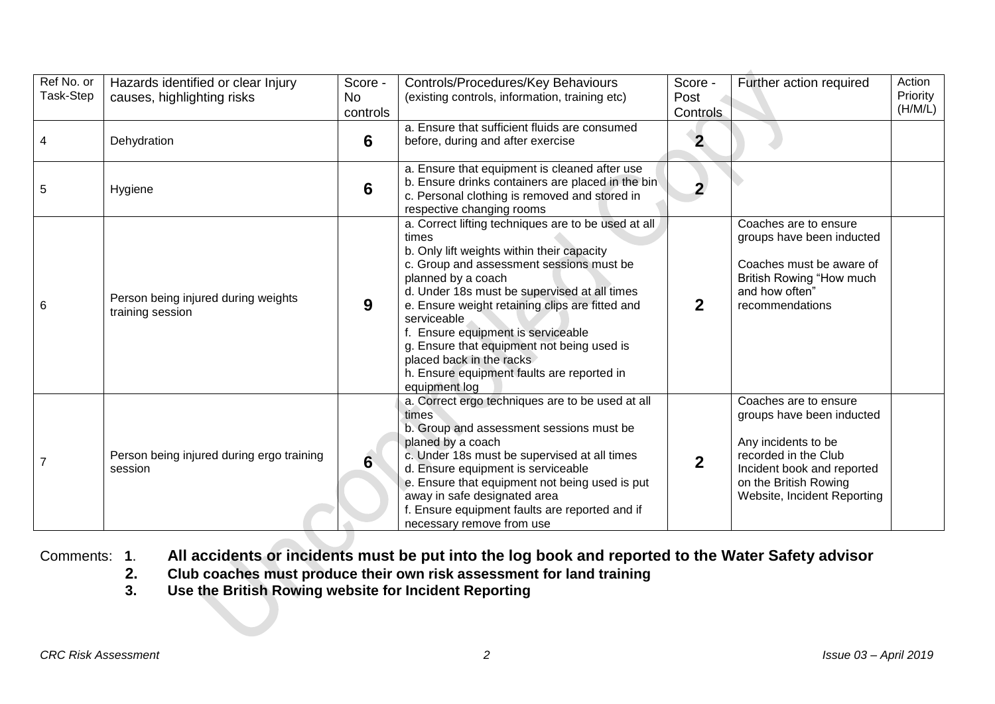| Ref No. or<br>Task-Step | Hazards identified or clear Injury<br>causes, highlighting risks | Score -<br>No.<br>controls | Controls/Procedures/Key Behaviours<br>(existing controls, information, training etc)                                                                                                                                                                                                                                                                                                                                                                                       | Score -<br>Post<br><b>Controls</b> | Further action required                                                                                                                                                                 | Action<br>Priority<br>(H/M/L) |
|-------------------------|------------------------------------------------------------------|----------------------------|----------------------------------------------------------------------------------------------------------------------------------------------------------------------------------------------------------------------------------------------------------------------------------------------------------------------------------------------------------------------------------------------------------------------------------------------------------------------------|------------------------------------|-----------------------------------------------------------------------------------------------------------------------------------------------------------------------------------------|-------------------------------|
| 4                       | Dehydration                                                      | 6                          | a. Ensure that sufficient fluids are consumed<br>before, during and after exercise                                                                                                                                                                                                                                                                                                                                                                                         | $\overline{2}$                     |                                                                                                                                                                                         |                               |
| 5                       | Hygiene                                                          | $6\phantom{1}$             | a. Ensure that equipment is cleaned after use<br>b. Ensure drinks containers are placed in the bin<br>c. Personal clothing is removed and stored in<br>respective changing rooms                                                                                                                                                                                                                                                                                           | $\overline{2}$                     |                                                                                                                                                                                         |                               |
| 6                       | Person being injured during weights<br>training session          | 9                          | a. Correct lifting techniques are to be used at all<br>times<br>b. Only lift weights within their capacity<br>c. Group and assessment sessions must be<br>planned by a coach<br>d. Under 18s must be supervised at all times<br>e. Ensure weight retaining clips are fitted and<br>serviceable<br>Ensure equipment is serviceable<br>g. Ensure that equipment not being used is<br>placed back in the racks<br>h. Ensure equipment faults are reported in<br>equipment log | $\mathbf{2}$                       | Coaches are to ensure<br>groups have been inducted<br>Coaches must be aware of<br>British Rowing "How much<br>and how often"<br>recommendations                                         |                               |
|                         | Person being injured during ergo training<br>session             | 6                          | a. Correct ergo techniques are to be used at all<br>times<br>b. Group and assessment sessions must be<br>planed by a coach<br>c. Under 18s must be supervised at all times<br>d. Ensure equipment is serviceable<br>e. Ensure that equipment not being used is put<br>away in safe designated area<br>f. Ensure equipment faults are reported and if<br>necessary remove from use                                                                                          | $\mathbf 2$                        | Coaches are to ensure<br>groups have been inducted<br>Any incidents to be<br>recorded in the Club<br>Incident book and reported<br>on the British Rowing<br>Website, Incident Reporting |                               |

## Comments: **1**. **All accidents or incidents must be put into the log book and reported to the Water Safety advisor**

- **2. Club coaches must produce their own risk assessment for land training**
- **3. Use the British Rowing website for Incident Reporting**